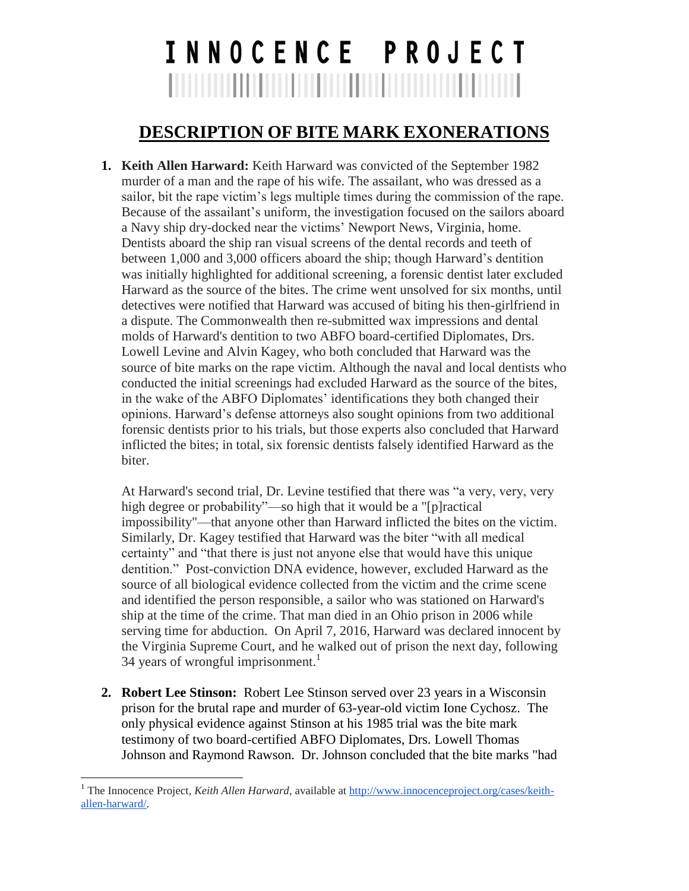# INNOCENCE PROJECT <u> Islam Maria Maria Maria Maria Maria Maria Maria Maria Maria Maria Maria Maria Maria Maria Maria Maria Maria M</u>

### **DESCRIPTION OF BITE MARK EXONERATIONS**

**1. Keith Allen Harward:** Keith Harward was convicted of the September 1982 murder of a man and the rape of his wife. The assailant, who was dressed as a sailor, bit the rape victim's legs multiple times during the commission of the rape. Because of the assailant's uniform, the investigation focused on the sailors aboard a Navy ship dry-docked near the victims' Newport News, Virginia, home. Dentists aboard the ship ran visual screens of the dental records and teeth of between 1,000 and 3,000 officers aboard the ship; though Harward's dentition was initially highlighted for additional screening, a forensic dentist later excluded Harward as the source of the bites. The crime went unsolved for six months, until detectives were notified that Harward was accused of biting his then-girlfriend in a dispute. The Commonwealth then re-submitted wax impressions and dental molds of Harward's dentition to two ABFO board-certified Diplomates, Drs. Lowell Levine and Alvin Kagey, who both concluded that Harward was the source of bite marks on the rape victim. Although the naval and local dentists who conducted the initial screenings had excluded Harward as the source of the bites, in the wake of the ABFO Diplomates' identifications they both changed their opinions. Harward's defense attorneys also sought opinions from two additional forensic dentists prior to his trials, but those experts also concluded that Harward inflicted the bites; in total, six forensic dentists falsely identified Harward as the biter.

At Harward's second trial, Dr. Levine testified that there was "a very, very, very high degree or probability"—so high that it would be a "[p]ractical impossibility"—that anyone other than Harward inflicted the bites on the victim. Similarly, Dr. Kagey testified that Harward was the biter "with all medical certainty" and "that there is just not anyone else that would have this unique dentition." Post-conviction DNA evidence, however, excluded Harward as the source of all biological evidence collected from the victim and the crime scene and identified the person responsible, a sailor who was stationed on Harward's ship at the time of the crime. That man died in an Ohio prison in 2006 while serving time for abduction. On April 7, 2016, Harward was declared innocent by the Virginia Supreme Court, and he walked out of prison the next day, following 34 years of wrongful imprisonment.<sup>1</sup>

**2. Robert Lee Stinson:** Robert Lee Stinson served over 23 years in a Wisconsin prison for the brutal rape and murder of 63-year-old victim Ione Cychosz. The only physical evidence against Stinson at his 1985 trial was the bite mark testimony of two board-certified ABFO Diplomates, Drs. Lowell Thomas Johnson and Raymond Rawson. Dr. Johnson concluded that the bite marks "had

 $\overline{\phantom{a}}$ <sup>1</sup> The Innocence Project, *Keith Allen Harward*, available at [http://www.innocenceproject.org/cases/keith](http://www.innocenceproject.org/cases/keith-allen-harward/)[allen-harward/.](http://www.innocenceproject.org/cases/keith-allen-harward/)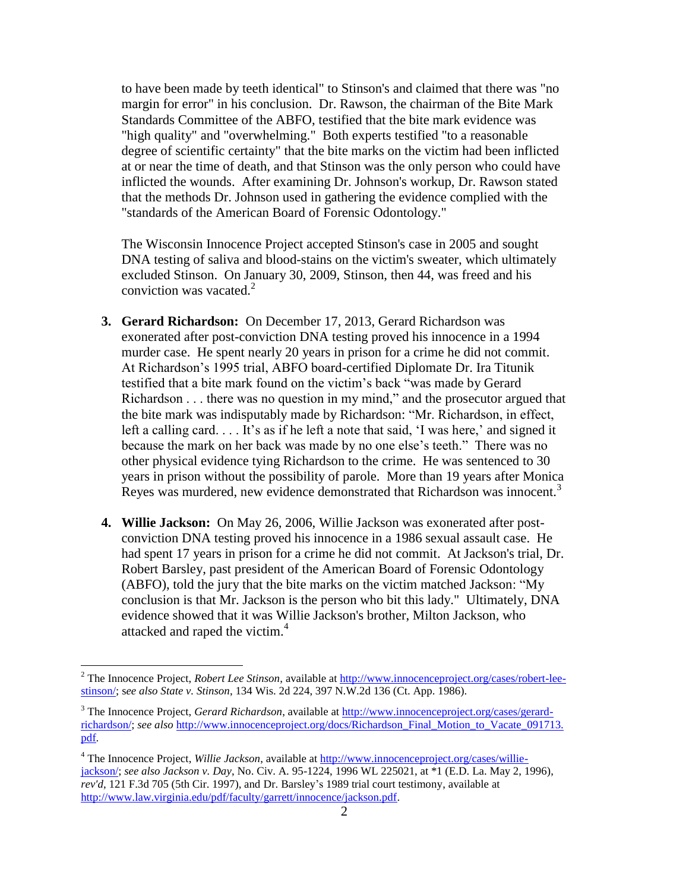to have been made by teeth identical" to Stinson's and claimed that there was "no margin for error" in his conclusion. Dr. Rawson, the chairman of the Bite Mark Standards Committee of the ABFO, testified that the bite mark evidence was "high quality" and "overwhelming." Both experts testified "to a reasonable degree of scientific certainty" that the bite marks on the victim had been inflicted at or near the time of death, and that Stinson was the only person who could have inflicted the wounds. After examining Dr. Johnson's workup, Dr. Rawson stated that the methods Dr. Johnson used in gathering the evidence complied with the "standards of the American Board of Forensic Odontology."

The Wisconsin Innocence Project accepted Stinson's case in 2005 and sought DNA testing of saliva and blood-stains on the victim's sweater, which ultimately excluded Stinson. On January 30, 2009, Stinson, then 44, was freed and his conviction was vacated. $<sup>2</sup>$ </sup>

- **3. Gerard Richardson:** On December 17, 2013, Gerard Richardson was exonerated after post-conviction DNA testing proved his innocence in a 1994 murder case. He spent nearly 20 years in prison for a crime he did not commit. At Richardson's 1995 trial, ABFO board-certified Diplomate Dr. Ira Titunik testified that a bite mark found on the victim's back "was made by Gerard Richardson . . . there was no question in my mind," and the prosecutor argued that the bite mark was indisputably made by Richardson: "Mr. Richardson, in effect, left a calling card. . . . It's as if he left a note that said, 'I was here,' and signed it because the mark on her back was made by no one else's teeth." There was no other physical evidence tying Richardson to the crime. He was sentenced to 30 years in prison without the possibility of parole. More than 19 years after Monica Reyes was murdered, new evidence demonstrated that Richardson was innocent.<sup>3</sup>
- **4. Willie Jackson:** On May 26, 2006, Willie Jackson was exonerated after postconviction DNA testing proved his innocence in a 1986 sexual assault case. He had spent 17 years in prison for a crime he did not commit. At Jackson's trial, Dr. Robert Barsley, past president of the American Board of Forensic Odontology (ABFO), told the jury that the bite marks on the victim matched Jackson: "My conclusion is that Mr. Jackson is the person who bit this lady." Ultimately, DNA evidence showed that it was Willie Jackson's brother, Milton Jackson, who attacked and raped the victim.<sup>4</sup>

<sup>&</sup>lt;sup>2</sup> The Innocence Project, *Robert Lee Stinson*, available at <u>http://www.innocenceproject.org/cases/robert-lee-</u> [stinson/;](http://www.innocenceproject.org/cases/robert-lee-stinson/) s*ee also State v. Stinson*, 134 Wis. 2d 224, 397 N.W.2d 136 (Ct. App. 1986).

<sup>3</sup> The Innocence Project, *Gerard Richardson*, available at [http://www.innocenceproject.org/cases/gerard](http://www.innocenceproject.org/cases/gerard-richardson/)[richardson/;](http://www.innocenceproject.org/cases/gerard-richardson/) *see also* [http://www.innocenceproject.org/docs/Richardson\\_Final\\_Motion\\_to\\_Vacate\\_091713.](http://www.innocenceproject.org/docs/Richardson_Final_Motion_to_Vacate_091713.pdf) [pdf.](http://www.innocenceproject.org/docs/Richardson_Final_Motion_to_Vacate_091713.pdf)

<sup>&</sup>lt;sup>4</sup> The Innocence Project, *Willie Jackson*, available at [http://www.innocenceproject.org/cases/willie](http://www.innocenceproject.org/cases/willie-jackson/)[jackson/;](http://www.innocenceproject.org/cases/willie-jackson/) *see also Jackson v. Day*, No. Civ. A. 95-1224, 1996 WL 225021, at \*1 (E.D. La. May 2, 1996), *rev'd*, 121 F.3d 705 (5th Cir. 1997), and Dr. Barsley's 1989 trial court testimony, available at [http://www.law.virginia.edu/pdf/faculty/garrett/innocence/jackson.pdf.](http://www.law.virginia.edu/pdf/faculty/garrett/innocence/jackson.pdf)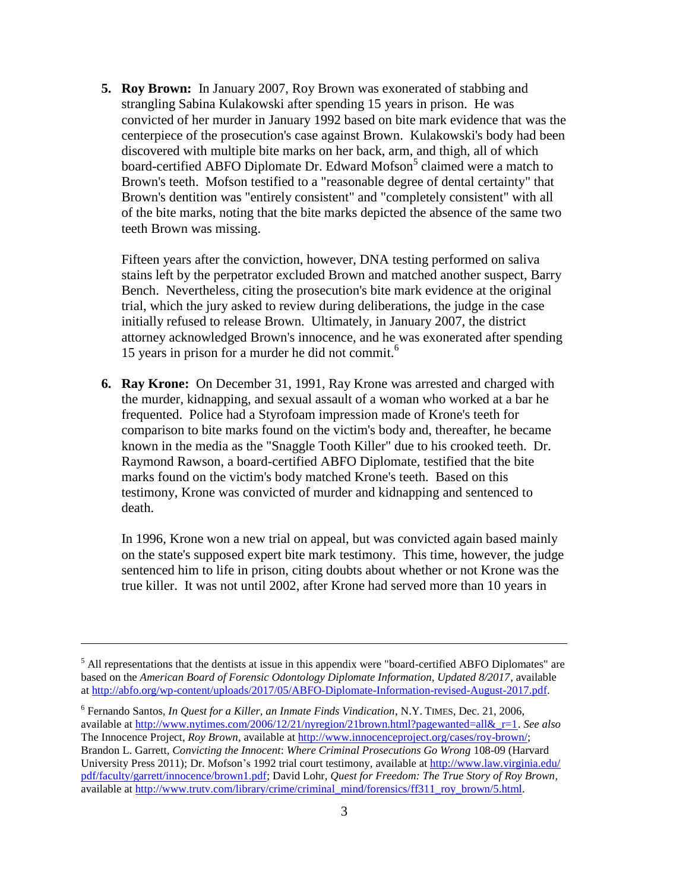**5. Roy Brown:** In January 2007, Roy Brown was exonerated of stabbing and strangling Sabina Kulakowski after spending 15 years in prison. He was convicted of her murder in January 1992 based on bite mark evidence that was the centerpiece of the prosecution's case against Brown. Kulakowski's body had been discovered with multiple bite marks on her back, arm, and thigh, all of which board-certified ABFO Diplomate Dr. Edward Mofson<sup>5</sup> claimed were a match to Brown's teeth. Mofson testified to a "reasonable degree of dental certainty" that Brown's dentition was "entirely consistent" and "completely consistent" with all of the bite marks, noting that the bite marks depicted the absence of the same two teeth Brown was missing.

Fifteen years after the conviction, however, DNA testing performed on saliva stains left by the perpetrator excluded Brown and matched another suspect, Barry Bench. Nevertheless, citing the prosecution's bite mark evidence at the original trial, which the jury asked to review during deliberations, the judge in the case initially refused to release Brown. Ultimately, in January 2007, the district attorney acknowledged Brown's innocence, and he was exonerated after spending 15 years in prison for a murder he did not commit.<sup>6</sup>

**6. Ray Krone:** On December 31, 1991, Ray Krone was arrested and charged with the murder, kidnapping, and sexual assault of a woman who worked at a bar he frequented. Police had a Styrofoam impression made of Krone's teeth for comparison to bite marks found on the victim's body and, thereafter, he became known in the media as the "Snaggle Tooth Killer" due to his crooked teeth. Dr. Raymond Rawson, a board-certified ABFO Diplomate, testified that the bite marks found on the victim's body matched Krone's teeth. Based on this testimony, Krone was convicted of murder and kidnapping and sentenced to death.

In 1996, Krone won a new trial on appeal, but was convicted again based mainly on the state's supposed expert bite mark testimony. This time, however, the judge sentenced him to life in prison, citing doubts about whether or not Krone was the true killer. It was not until 2002, after Krone had served more than 10 years in

 $<sup>5</sup>$  All representations that the dentists at issue in this appendix were "board-certified ABFO Diplomates" are</sup> based on the *American Board of Forensic Odontology Diplomate Information, Updated 8/2017*, available a[t http://abfo.org/wp-content/uploads/2017/05/ABFO-Diplomate-Information-revised-August-2017.pdf.](http://abfo.org/wp-content/uploads/2017/05/ABFO-Diplomate-Information-revised-August-2017.pdf)

<sup>6</sup> Fernando Santos, *In Quest for a Killer, an Inmate Finds Vindication*, N.Y. TIMES, Dec. 21, 2006, available at [http://www.nytimes.com/2006/12/21/nyregion/21brown.html?pagewanted=all&\\_r=1.](http://www.nytimes.com/2006/12/21/nyregion/21brown.html?pagewanted=all&_r=1) *See also* The Innocence Project, *Roy Brown*, available at [http://www.innocenceproject.org/cases/roy-brown/;](http://www.innocenceproject.org/cases/roy-brown/) Brandon L. Garrett, *Convicting the Innocent*: *Where Criminal Prosecutions Go Wrong* 108-09 (Harvard University Press 2011); Dr. Mofson's 1992 trial court testimony, available at [http://www.law.virginia.edu/](http://www.law.virginia.edu/pdf/faculty/garrett/innocence/brown1.pdf) [pdf/faculty/garrett/innocence/brown1.pdf;](http://www.law.virginia.edu/pdf/faculty/garrett/innocence/brown1.pdf) David Lohr, *Quest for Freedom: The True Story of Roy Brown*, available at [http://www.trutv.com/library/crime/criminal\\_mind/forensics/ff311\\_roy\\_brown/5.html.](http://www.trutv.com/library/crime/criminal_mind/forensics/ff311_roy_brown/5.html)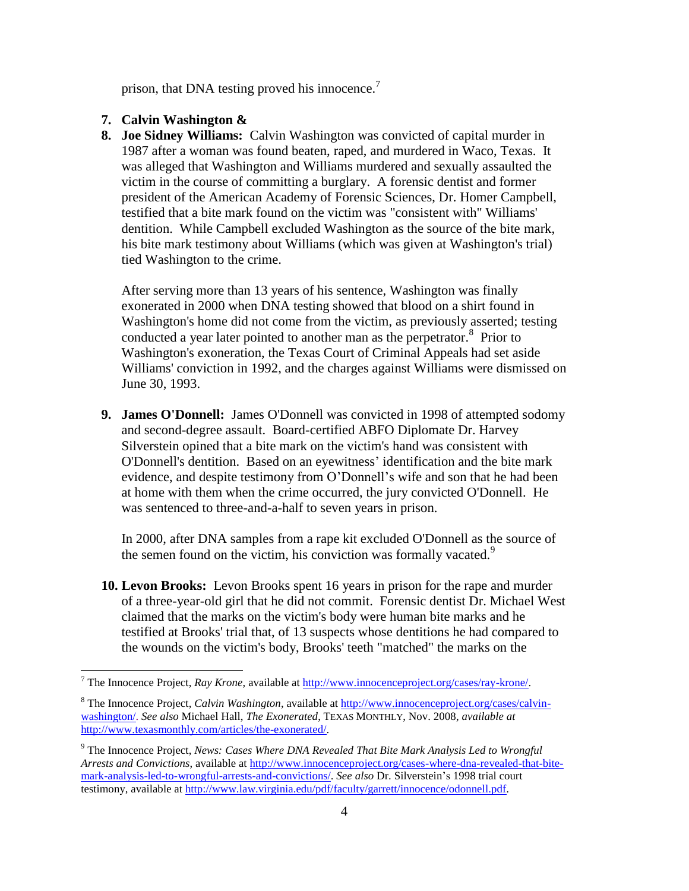prison, that DNA testing proved his innocence.<sup>7</sup>

#### **7. Calvin Washington &**

 $\overline{\phantom{a}}$ 

**8. Joe Sidney Williams:** Calvin Washington was convicted of capital murder in 1987 after a woman was found beaten, raped, and murdered in Waco, Texas. It was alleged that Washington and Williams murdered and sexually assaulted the victim in the course of committing a burglary. A forensic dentist and former president of the American Academy of Forensic Sciences, Dr. Homer Campbell, testified that a bite mark found on the victim was "consistent with" Williams' dentition. While Campbell excluded Washington as the source of the bite mark, his bite mark testimony about Williams (which was given at Washington's trial) tied Washington to the crime.

After serving more than 13 years of his sentence, Washington was finally exonerated in 2000 when DNA testing showed that blood on a shirt found in Washington's home did not come from the victim, as previously asserted; testing conducted a year later pointed to another man as the perpetrator.<sup>8</sup> Prior to Washington's exoneration, the Texas Court of Criminal Appeals had set aside Williams' conviction in 1992, and the charges against Williams were dismissed on June 30, 1993.

**9. James O'Donnell:** James O'Donnell was convicted in 1998 of attempted sodomy and second-degree assault. Board-certified ABFO Diplomate Dr. Harvey Silverstein opined that a bite mark on the victim's hand was consistent with O'Donnell's dentition. Based on an eyewitness' identification and the bite mark evidence, and despite testimony from O'Donnell's wife and son that he had been at home with them when the crime occurred, the jury convicted O'Donnell. He was sentenced to three-and-a-half to seven years in prison.

In 2000, after DNA samples from a rape kit excluded O'Donnell as the source of the semen found on the victim, his conviction was formally vacated.<sup>9</sup>

**10. Levon Brooks:** Levon Brooks spent 16 years in prison for the rape and murder of a three-year-old girl that he did not commit. Forensic dentist Dr. Michael West claimed that the marks on the victim's body were human bite marks and he testified at Brooks' trial that, of 13 suspects whose dentitions he had compared to the wounds on the victim's body, Brooks' teeth "matched" the marks on the

<sup>7</sup> The Innocence Project, *Ray Krone*, available at [http://www.innocenceproject.org/cases/ray-krone/.](http://www.innocenceproject.org/cases/ray-krone/)

<sup>8</sup> The Innocence Project, *Calvin Washington*, available at [http://www.innocenceproject.org/cases/calvin](http://www.innocenceproject.org/cases/calvin-washington/)[washington/.](http://www.innocenceproject.org/cases/calvin-washington/) *See also* Michael Hall, *The Exonerated*, TEXAS MONTHLY, Nov. 2008, *available at*  [http://www.texasmonthly.com/articles/the-exonerated/.](http://www.texasmonthly.com/articles/the-exonerated/)

<sup>9</sup> The Innocence Project, *News: Cases Where DNA Revealed That Bite Mark Analysis Led to Wrongful Arrests and Convictions*, available at [http://www.innocenceproject.org/cases-where-dna-revealed-that-bite](http://www.innocenceproject.org/cases-where-dna-revealed-that-bite-mark-analysis-led-to-wrongful-arrests-and-convictions/)[mark-analysis-led-to-wrongful-arrests-and-convictions/.](http://www.innocenceproject.org/cases-where-dna-revealed-that-bite-mark-analysis-led-to-wrongful-arrests-and-convictions/) *See also* Dr. Silverstein's 1998 trial court testimony, available at <http://www.law.virginia.edu/pdf/faculty/garrett/innocence/odonnell.pdf>*.*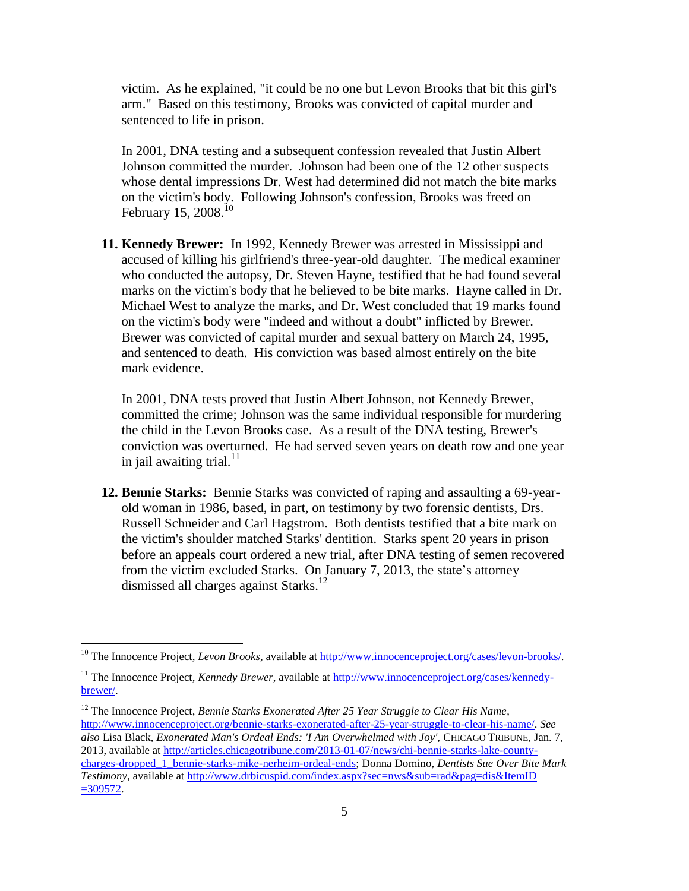victim. As he explained, "it could be no one but Levon Brooks that bit this girl's arm." Based on this testimony, Brooks was convicted of capital murder and sentenced to life in prison.

In 2001, DNA testing and a subsequent confession revealed that Justin Albert Johnson committed the murder. Johnson had been one of the 12 other suspects whose dental impressions Dr. West had determined did not match the bite marks on the victim's body. Following Johnson's confession, Brooks was freed on February 15, 2008.<sup>10</sup>

**11. Kennedy Brewer:** In 1992, Kennedy Brewer was arrested in Mississippi and accused of killing his girlfriend's three-year-old daughter. The medical examiner who conducted the autopsy, Dr. Steven Hayne, testified that he had found several marks on the victim's body that he believed to be bite marks. Hayne called in Dr. Michael West to analyze the marks, and Dr. West concluded that 19 marks found on the victim's body were "indeed and without a doubt" inflicted by Brewer. Brewer was convicted of capital murder and sexual battery on March 24, 1995, and sentenced to death. His conviction was based almost entirely on the bite mark evidence.

In 2001, DNA tests proved that Justin Albert Johnson, not Kennedy Brewer, committed the crime; Johnson was the same individual responsible for murdering the child in the Levon Brooks case. As a result of the DNA testing, Brewer's conviction was overturned. He had served seven years on death row and one year in jail awaiting trial. $^{11}$ 

**12. Bennie Starks:** Bennie Starks was convicted of raping and assaulting a 69-yearold woman in 1986, based, in part, on testimony by two forensic dentists, Drs. Russell Schneider and Carl Hagstrom. Both dentists testified that a bite mark on the victim's shoulder matched Starks' dentition. Starks spent 20 years in prison before an appeals court ordered a new trial, after DNA testing of semen recovered from the victim excluded Starks. On January 7, 2013, the state's attorney dismissed all charges against Starks.<sup>12</sup>

<sup>&</sup>lt;sup>10</sup> The Innocence Project, *Levon Brooks*, available at [http://www.innocenceproject.org/cases/levon-brooks/.](http://www.innocenceproject.org/cases/levon-brooks/)

<sup>&</sup>lt;sup>11</sup> The Innocence Project, *Kennedy Brewer*, available at [http://www.innocenceproject.org/cases/kennedy](http://www.innocenceproject.org/cases/kennedy-brewer/)[brewer/.](http://www.innocenceproject.org/cases/kennedy-brewer/)

<sup>&</sup>lt;sup>12</sup> The Innocence Project, *Bennie Starks Exonerated After 25 Year Struggle to Clear His Name*, [http://www.innocenceproject.org/bennie-starks-exonerated-after-25-year-struggle-to-clear-his-name/.](http://www.innocenceproject.org/bennie-starks-exonerated-after-25-year-struggle-to-clear-his-name/) *See also* Lisa Black, *Exonerated Man's Ordeal Ends: 'I Am Overwhelmed with Joy',* CHICAGO TRIBUNE, Jan. 7, 2013, available at [http://articles.chicagotribune.com/2013-01-07/news/chi-bennie-starks-lake-county](http://articles.chicagotribune.com/2013-01-07/news/chi-bennie-starks-lake-county-charges-dropped_1_bennie-starks-mike-nerheim-ordeal-ends)[charges-dropped\\_1\\_bennie-starks-mike-nerheim-ordeal-ends;](http://articles.chicagotribune.com/2013-01-07/news/chi-bennie-starks-lake-county-charges-dropped_1_bennie-starks-mike-nerheim-ordeal-ends) Donna Domino, *Dentists Sue Over Bite Mark Testimony*, available at [http://www.drbicuspid.com/index.aspx?sec=nws&sub=rad&pag=dis&ItemID](http://www.drbicuspid.com/index.aspx?sec=nws&sub=rad&pag=dis&ItemID=309572)  $=309572.$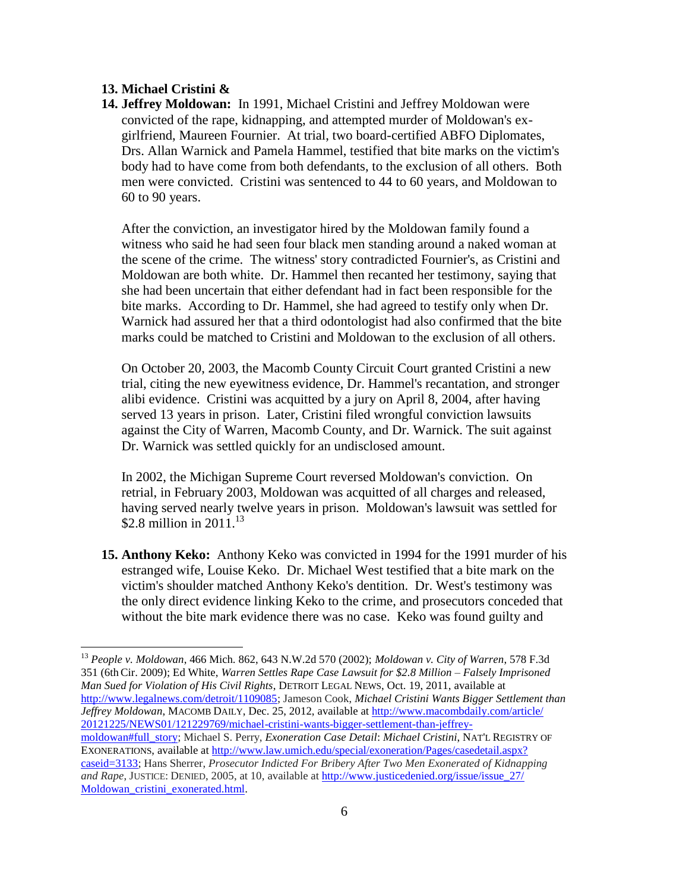#### **13. Michael Cristini &**

l

**14. Jeffrey Moldowan:** In 1991, Michael Cristini and Jeffrey Moldowan were convicted of the rape, kidnapping, and attempted murder of Moldowan's exgirlfriend, Maureen Fournier. At trial, two board-certified ABFO Diplomates, Drs. Allan Warnick and Pamela Hammel, testified that bite marks on the victim's body had to have come from both defendants, to the exclusion of all others. Both men were convicted. Cristini was sentenced to 44 to 60 years, and Moldowan to 60 to 90 years.

After the conviction, an investigator hired by the Moldowan family found a witness who said he had seen four black men standing around a naked woman at the scene of the crime. The witness' story contradicted Fournier's, as Cristini and Moldowan are both white. Dr. Hammel then recanted her testimony, saying that she had been uncertain that either defendant had in fact been responsible for the bite marks. According to Dr. Hammel, she had agreed to testify only when Dr. Warnick had assured her that a third odontologist had also confirmed that the bite marks could be matched to Cristini and Moldowan to the exclusion of all others.

On October 20, 2003, the Macomb County Circuit Court granted Cristini a new trial, citing the new eyewitness evidence, Dr. Hammel's recantation, and stronger alibi evidence. Cristini was acquitted by a jury on April 8, 2004, after having served 13 years in prison. Later, Cristini filed wrongful conviction lawsuits against the City of Warren, Macomb County, and Dr. Warnick. The suit against Dr. Warnick was settled quickly for an undisclosed amount.

In 2002, the Michigan Supreme Court reversed Moldowan's conviction. On retrial, in February 2003, Moldowan was acquitted of all charges and released, having served nearly twelve years in prison. Moldowan's lawsuit was settled for \$2.8 million in 2011.<sup>13</sup>

**15. Anthony Keko:** Anthony Keko was convicted in 1994 for the 1991 murder of his estranged wife, Louise Keko. Dr. Michael West testified that a bite mark on the victim's shoulder matched Anthony Keko's dentition. Dr. West's testimony was the only direct evidence linking Keko to the crime, and prosecutors conceded that without the bite mark evidence there was no case. Keko was found guilty and

<sup>13</sup> *People v. Moldowan*, 466 Mich. 862, 643 N.W.2d 570 (2002); *Moldowan v. City of Warren*, 578 F.3d 351 (6th Cir. 2009); Ed White, *Warren Settles Rape Case Lawsuit for \$2.8 Million – Falsely Imprisoned Man Sued for Violation of His Civil Rights*, DETROIT LEGAL NEWS, Oct. 19, 2011, available at [http://www.legalnews.com/detroit/1109085;](http://www.legalnews.com/detroit/1109085) Jameson Cook, *Michael Cristini Wants Bigger Settlement than Jeffrey Moldowan*, MACOMB DAILY, Dec. 25, 2012, available at [http://www.macombdaily.com/article/](http://www.macombdaily.com/article/‌20121225/NEWS01/121229769/michael-cristini-wants-bigger-settlement-than-jeffrey-moldowan#full_story) [20121225/NEWS01/121229769/michael-cristini-wants-bigger-settlement-than-jeffrey](http://www.macombdaily.com/article/‌20121225/NEWS01/121229769/michael-cristini-wants-bigger-settlement-than-jeffrey-moldowan#full_story)[moldowan#full\\_story;](http://www.macombdaily.com/article/‌20121225/NEWS01/121229769/michael-cristini-wants-bigger-settlement-than-jeffrey-moldowan#full_story) Michael S. Perry, *Exoneration Case Detail*: *Michael Cristini*, NAT'L REGISTRY OF EXONERATIONS, available at [http://www.law.umich.edu/special/exoneration/Pages/casedetail.aspx?](http://www.law.umich.edu/special/exoneration/Pages/casedetail.aspx?caseid=3133) [caseid=3133;](http://www.law.umich.edu/special/exoneration/Pages/casedetail.aspx?caseid=3133) Hans Sherrer, *Prosecutor Indicted For Bribery After Two Men Exonerated of Kidnapping and Rape*, JUSTICE: DENIED, 2005, at 10, available at http://www.justicedenied.org/issue/issue 27/ [Moldowan\\_cristini\\_exonerated.html.](http://www.justicedenied.org/issue/issue_27/Moldowan_cristini_exonerated.html)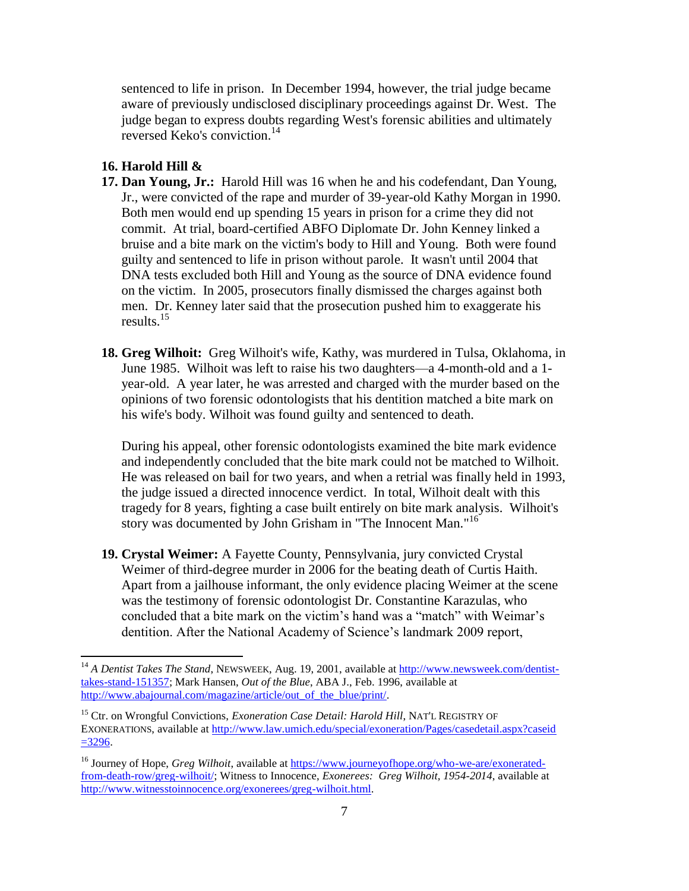sentenced to life in prison. In December 1994, however, the trial judge became aware of previously undisclosed disciplinary proceedings against Dr. West. The judge began to express doubts regarding West's forensic abilities and ultimately reversed Keko's conviction.<sup>14</sup>

#### **16. Harold Hill &**

 $\overline{\phantom{a}}$ 

- **17. Dan Young, Jr.:** Harold Hill was 16 when he and his codefendant, Dan Young, Jr., were convicted of the rape and murder of 39-year-old Kathy Morgan in 1990. Both men would end up spending 15 years in prison for a crime they did not commit. At trial, board-certified ABFO Diplomate Dr. John Kenney linked a bruise and a bite mark on the victim's body to Hill and Young. Both were found guilty and sentenced to life in prison without parole. It wasn't until 2004 that DNA tests excluded both Hill and Young as the source of DNA evidence found on the victim. In 2005, prosecutors finally dismissed the charges against both men. Dr. Kenney later said that the prosecution pushed him to exaggerate his results.<sup>15</sup>
- **18. Greg Wilhoit:** Greg Wilhoit's wife, Kathy, was murdered in Tulsa, Oklahoma, in June 1985. Wilhoit was left to raise his two daughters—a 4-month-old and a 1 year-old. A year later, he was arrested and charged with the murder based on the opinions of two forensic odontologists that his dentition matched a bite mark on his wife's body. Wilhoit was found guilty and sentenced to death.

During his appeal, other forensic odontologists examined the bite mark evidence and independently concluded that the bite mark could not be matched to Wilhoit. He was released on bail for two years, and when a retrial was finally held in 1993, the judge issued a directed innocence verdict. In total, Wilhoit dealt with this tragedy for 8 years, fighting a case built entirely on bite mark analysis. Wilhoit's story was documented by John Grisham in "The Innocent Man."<sup>16</sup>

**19. Crystal Weimer:** A Fayette County, Pennsylvania, jury convicted Crystal Weimer of third-degree murder in 2006 for the beating death of Curtis Haith. Apart from a jailhouse informant, the only evidence placing Weimer at the scene was the testimony of forensic odontologist Dr. Constantine Karazulas, who concluded that a bite mark on the victim's hand was a "match" with Weimar's dentition. After the National Academy of Science's landmark 2009 report,

<sup>&</sup>lt;sup>14</sup> *A Dentist Takes The Stand*, NEWSWEEK, Aug. 19, 2001, available at [http://www.newsweek.com/dentist](http://www.newsweek.com/dentist-takes-stand-151357)[takes-stand-151357;](http://www.newsweek.com/dentist-takes-stand-151357) Mark Hansen, *Out of the Blue*, ABA J., Feb. 1996, available at [http://www.abajournal.com/magazine/article/out\\_of\\_the\\_blue/print/.](http://www.abajournal.com/magazine/article/out_of_the_blue/print/)

<sup>&</sup>lt;sup>15</sup> Ctr. on Wrongful Convictions, *Exoneration Case Detail: Harold Hill*, NAT'L REGISTRY OF EXONERATIONS, available at [http://www.law.umich.edu/special/exoneration/Pages/casedetail.aspx?caseid](http://www.law.umich.edu/special/exoneration/Pages/casedetail.aspx?caseid=3296)  $=$ 3296.

<sup>16</sup> Journey of Hope, *Greg Wilhoit*, available at [https://www.journeyofhope.org/who-we-are/exonerated](https://www.journeyofhope.org/who-we-are/exonerated-from-death-row/greg-wilhoit/)[from-death-row/greg-wilhoit/;](https://www.journeyofhope.org/who-we-are/exonerated-from-death-row/greg-wilhoit/) Witness to Innocence, *Exonerees: Greg Wilhoit, 1954-2014*, available at [http://www.witnesstoinnocence.org/exonerees/greg-wilhoit.html.](http://www.witnesstoinnocence.org/exonerees/greg-wilhoit.html)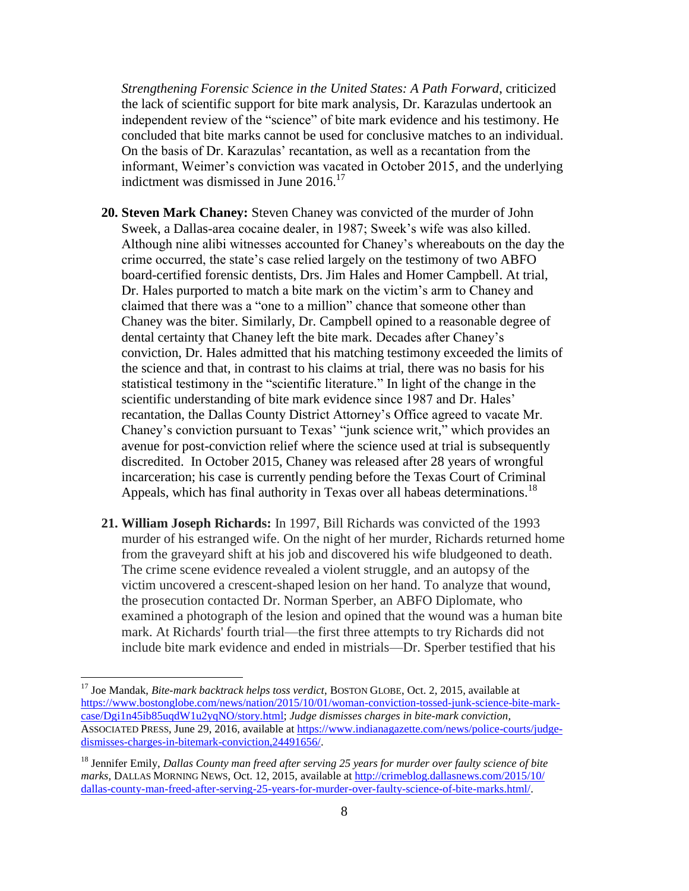*Strengthening Forensic Science in the United States: A Path Forward*, criticized the lack of scientific support for bite mark analysis, Dr. Karazulas undertook an independent review of the "science" of bite mark evidence and his testimony. He concluded that bite marks cannot be used for conclusive matches to an individual. On the basis of Dr. Karazulas' recantation, as well as a recantation from the informant, Weimer's conviction was vacated in October 2015, and the underlying indictment was dismissed in June 2016.<sup>17</sup>

- **20. Steven Mark Chaney:** Steven Chaney was convicted of the murder of John Sweek, a Dallas-area cocaine dealer, in 1987; Sweek's wife was also killed. Although nine alibi witnesses accounted for Chaney's whereabouts on the day the crime occurred, the state's case relied largely on the testimony of two ABFO board-certified forensic dentists, Drs. Jim Hales and Homer Campbell. At trial, Dr. Hales purported to match a bite mark on the victim's arm to Chaney and claimed that there was a "one to a million" chance that someone other than Chaney was the biter. Similarly, Dr. Campbell opined to a reasonable degree of dental certainty that Chaney left the bite mark. Decades after Chaney's conviction, Dr. Hales admitted that his matching testimony exceeded the limits of the science and that, in contrast to his claims at trial, there was no basis for his statistical testimony in the "scientific literature." In light of the change in the scientific understanding of bite mark evidence since 1987 and Dr. Hales' recantation, the Dallas County District Attorney's Office agreed to vacate Mr. Chaney's conviction pursuant to Texas' "junk science writ," which provides an avenue for post-conviction relief where the science used at trial is subsequently discredited. In October 2015, Chaney was released after 28 years of wrongful incarceration; his case is currently pending before the Texas Court of Criminal Appeals, which has final authority in Texas over all habeas determinations.<sup>18</sup>
- **21. William Joseph Richards:** In 1997, Bill Richards was convicted of the 1993 murder of his estranged wife. On the night of her murder, Richards returned home from the graveyard shift at his job and discovered his wife bludgeoned to death. The crime scene evidence revealed a violent struggle, and an autopsy of the victim uncovered a crescent-shaped lesion on her hand. To analyze that wound, the prosecution contacted Dr. Norman Sperber, an ABFO Diplomate, who examined a photograph of the lesion and opined that the wound was a human bite mark. At Richards' fourth trial—the first three attempts to try Richards did not include bite mark evidence and ended in mistrials—Dr. Sperber testified that his

<sup>&</sup>lt;sup>17</sup> Joe Mandak, *Bite-mark backtrack helps toss verdict*, BOSTON GLOBE, Oct. 2, 2015, available at [https://www.bostonglobe.com/news/nation/2015/10/01/woman-conviction-tossed-junk-science-bite-mark](https://www.bostonglobe.com/news/nation/2015/10/01/woman-conviction-tossed-junk-science-bite-mark-case/Dgi1n45ib85uqdW1u2yqNO/story.html)[case/Dgi1n45ib85uqdW1u2yqNO/story.html;](https://www.bostonglobe.com/news/nation/2015/10/01/woman-conviction-tossed-junk-science-bite-mark-case/Dgi1n45ib85uqdW1u2yqNO/story.html) *Judge dismisses charges in bite-mark conviction,* ASSOCIATED PRESS, June 29, 2016, available at [https://www.indianagazette.com/news/police-courts/judge](https://www.indianagazette.com/news/police-courts/judge-dismisses-charges-in-bitemark-conviction,24491656/)[dismisses-charges-in-bitemark-conviction,24491656/.](https://www.indianagazette.com/news/police-courts/judge-dismisses-charges-in-bitemark-conviction,24491656/)

<sup>18</sup> Jennifer Emily, *Dallas County man freed after serving 25 years for murder over faulty science of bite marks*, DALLAS MORNING NEWS, Oct. 12, 2015, available at [http://crimeblog.dallasnews.com/2015/10/](http://crimeblog.dallasnews.com/2015/10/dallas-county-man-freed-after-serving-25-years-for-murder-over-faulty-science-of-bite-marks.html/) [dallas-county-man-freed-after-serving-25-years-for-murder-over-faulty-science-of-bite-marks.html/.](http://crimeblog.dallasnews.com/2015/10/dallas-county-man-freed-after-serving-25-years-for-murder-over-faulty-science-of-bite-marks.html/)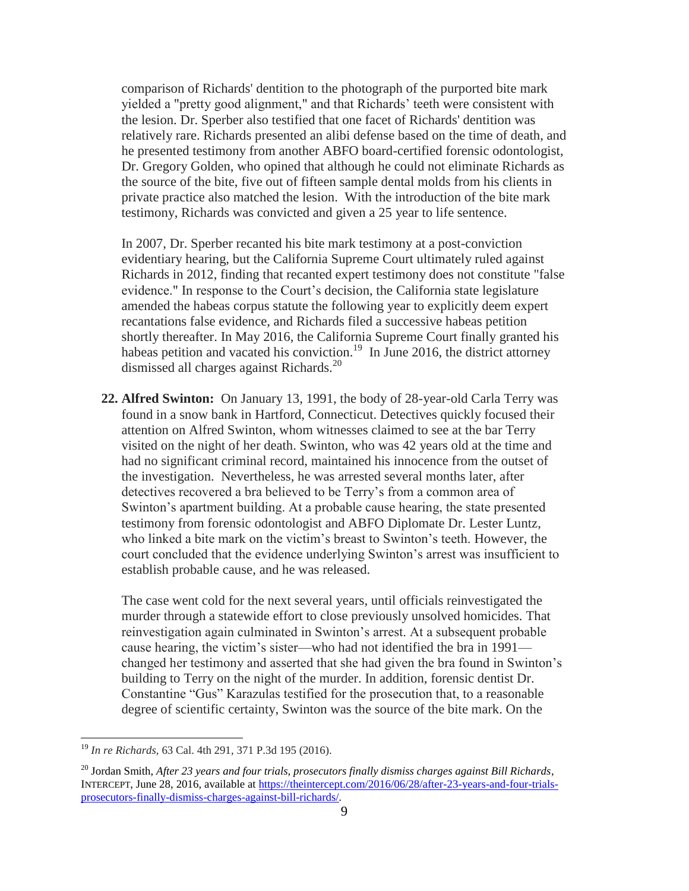comparison of Richards' dentition to the photograph of the purported bite mark yielded a "pretty good alignment," and that Richards' teeth were consistent with the lesion. Dr. Sperber also testified that one facet of Richards' dentition was relatively rare. Richards presented an alibi defense based on the time of death, and he presented testimony from another ABFO board-certified forensic odontologist, Dr. Gregory Golden, who opined that although he could not eliminate Richards as the source of the bite, five out of fifteen sample dental molds from his clients in private practice also matched the lesion. With the introduction of the bite mark testimony, Richards was convicted and given a 25 year to life sentence.

In 2007, Dr. Sperber recanted his bite mark testimony at a post-conviction evidentiary hearing, but the California Supreme Court ultimately ruled against Richards in 2012, finding that recanted expert testimony does not constitute "false evidence." In response to the Court's decision, the California state legislature amended the habeas corpus statute the following year to explicitly deem expert recantations false evidence, and Richards filed a successive habeas petition shortly thereafter. In May 2016, the California Supreme Court finally granted his habeas petition and vacated his conviction.<sup>19</sup> In June 2016, the district attorney dismissed all charges against Richards.<sup>20</sup>

**22. Alfred Swinton:** On January 13, 1991, the body of 28-year-old Carla Terry was found in a snow bank in Hartford, Connecticut. Detectives quickly focused their attention on Alfred Swinton, whom witnesses claimed to see at the bar Terry visited on the night of her death. Swinton, who was 42 years old at the time and had no significant criminal record, maintained his innocence from the outset of the investigation. Nevertheless, he was arrested several months later, after detectives recovered a bra believed to be Terry's from a common area of Swinton's apartment building. At a probable cause hearing, the state presented testimony from forensic odontologist and ABFO Diplomate Dr. Lester Luntz, who linked a bite mark on the victim's breast to Swinton's teeth. However, the court concluded that the evidence underlying Swinton's arrest was insufficient to establish probable cause, and he was released.

The case went cold for the next several years, until officials reinvestigated the murder through a statewide effort to close previously unsolved homicides. That reinvestigation again culminated in Swinton's arrest. At a subsequent probable cause hearing, the victim's sister—who had not identified the bra in 1991 changed her testimony and asserted that she had given the bra found in Swinton's building to Terry on the night of the murder. In addition, forensic dentist Dr. Constantine "Gus" Karazulas testified for the prosecution that, to a reasonable degree of scientific certainty, Swinton was the source of the bite mark. On the

<sup>19</sup> *In re Richards*, 63 Cal. 4th 291, 371 P.3d 195 (2016).

<sup>20</sup> Jordan Smith, *After 23 years and four trials, prosecutors finally dismiss charges against Bill Richards*, INTERCEPT, June 28, 2016, available at [https://theintercept.com/2016/06/28/after-23-years-and-four-trials](https://theintercept.com/2016/06/28/after-23-years-and-four-trials-prosecutors-finally-dismiss-charges-against-bill-richards/)[prosecutors-finally-dismiss-charges-against-bill-richards/](https://theintercept.com/2016/06/28/after-23-years-and-four-trials-prosecutors-finally-dismiss-charges-against-bill-richards/)*.*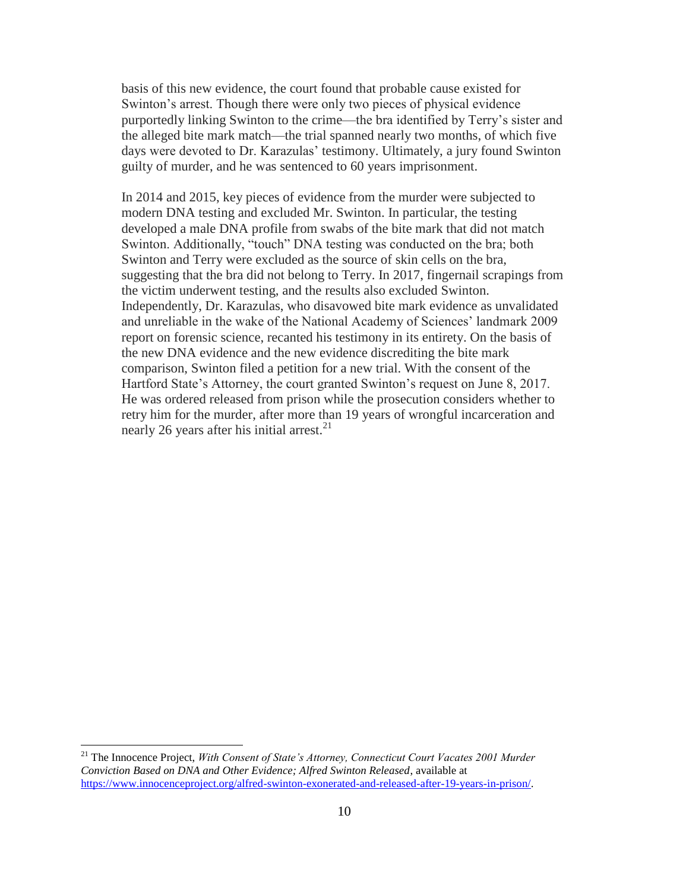basis of this new evidence, the court found that probable cause existed for Swinton's arrest. Though there were only two pieces of physical evidence purportedly linking Swinton to the crime—the bra identified by Terry's sister and the alleged bite mark match—the trial spanned nearly two months, of which five days were devoted to Dr. Karazulas' testimony. Ultimately, a jury found Swinton guilty of murder, and he was sentenced to 60 years imprisonment.

In 2014 and 2015, key pieces of evidence from the murder were subjected to modern DNA testing and excluded Mr. Swinton. In particular, the testing developed a male DNA profile from swabs of the bite mark that did not match Swinton. Additionally, "touch" DNA testing was conducted on the bra; both Swinton and Terry were excluded as the source of skin cells on the bra, suggesting that the bra did not belong to Terry. In 2017, fingernail scrapings from the victim underwent testing, and the results also excluded Swinton. Independently, Dr. Karazulas, who disavowed bite mark evidence as unvalidated and unreliable in the wake of the National Academy of Sciences' landmark 2009 report on forensic science, recanted his testimony in its entirety. On the basis of the new DNA evidence and the new evidence discrediting the bite mark comparison, Swinton filed a petition for a new trial. With the consent of the Hartford State's Attorney, the court granted Swinton's request on June 8, 2017. He was ordered released from prison while the prosecution considers whether to retry him for the murder, after more than 19 years of wrongful incarceration and nearly 26 years after his initial arrest. $^{21}$ 

<sup>21</sup> The Innocence Project, *With Consent of State's Attorney, Connecticut Court Vacates 2001 Murder Conviction Based on DNA and Other Evidence; Alfred Swinton Released*, available at [https://www.innocenceproject.org/alfred-swinton-exonerated-and-released-after-19-years-in-prison/.](https://www.innocenceproject.org/alfred-swinton-exonerated-and-released-after-19-years-in-prison/)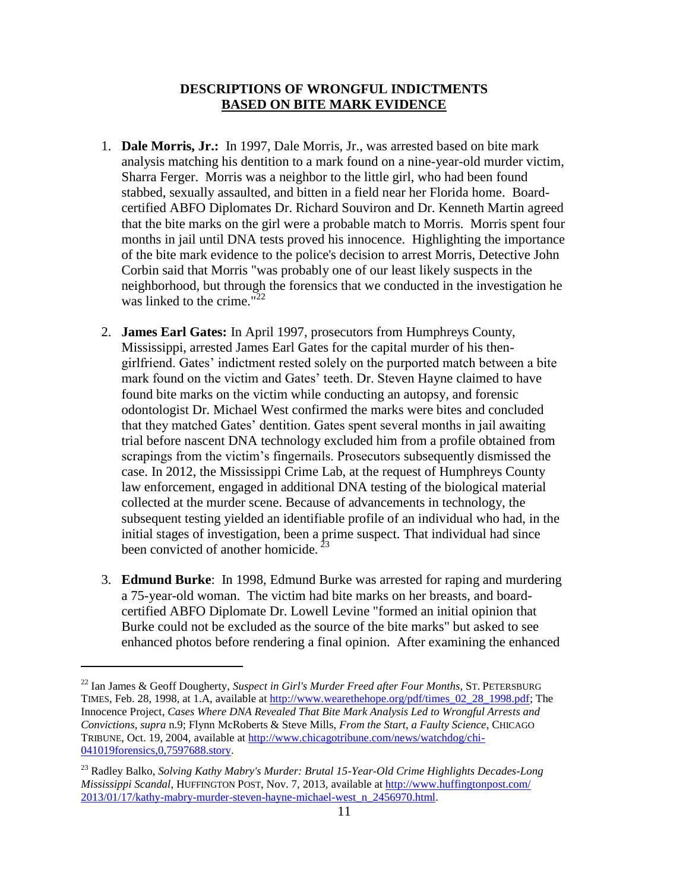#### **DESCRIPTIONS OF WRONGFUL INDICTMENTS BASED ON BITE MARK EVIDENCE**

- 1. **Dale Morris, Jr.:** In 1997, Dale Morris, Jr., was arrested based on bite mark analysis matching his dentition to a mark found on a nine-year-old murder victim, Sharra Ferger. Morris was a neighbor to the little girl, who had been found stabbed, sexually assaulted, and bitten in a field near her Florida home. Boardcertified ABFO Diplomates Dr. Richard Souviron and Dr. Kenneth Martin agreed that the bite marks on the girl were a probable match to Morris. Morris spent four months in jail until DNA tests proved his innocence. Highlighting the importance of the bite mark evidence to the police's decision to arrest Morris, Detective John Corbin said that Morris "was probably one of our least likely suspects in the neighborhood, but through the forensics that we conducted in the investigation he was linked to the crime."<sup>22</sup>
- 2. **James Earl Gates:** In April 1997, prosecutors from Humphreys County, Mississippi, arrested James Earl Gates for the capital murder of his thengirlfriend. Gates' indictment rested solely on the purported match between a bite mark found on the victim and Gates' teeth. Dr. Steven Hayne claimed to have found bite marks on the victim while conducting an autopsy, and forensic odontologist Dr. Michael West confirmed the marks were bites and concluded that they matched Gates' dentition. Gates spent several months in jail awaiting trial before nascent DNA technology excluded him from a profile obtained from scrapings from the victim's fingernails. Prosecutors subsequently dismissed the case. In 2012, the Mississippi Crime Lab, at the request of Humphreys County law enforcement, engaged in additional DNA testing of the biological material collected at the murder scene. Because of advancements in technology, the subsequent testing yielded an identifiable profile of an individual who had, in the initial stages of investigation, been a prime suspect. That individual had since been convicted of another homicide.  $^{23}$
- 3. **Edmund Burke**: In 1998, Edmund Burke was arrested for raping and murdering a 75-year-old woman. The victim had bite marks on her breasts, and boardcertified ABFO Diplomate Dr. Lowell Levine "formed an initial opinion that Burke could not be excluded as the source of the bite marks" but asked to see enhanced photos before rendering a final opinion. After examining the enhanced

<sup>22</sup> Ian James & Geoff Dougherty, *Suspect in Girl's Murder Freed after Four Months*, ST. PETERSBURG TIMES, Feb. 28, 1998, at 1.A, available at [http://www.wearethehope.org/pdf/times\\_02\\_28\\_1998.pdf;](http://www.wearethehope.org/pdf/times_02_28_1998.pdf) The Innocence Project, *Cases Where DNA Revealed That Bite Mark Analysis Led to Wrongful Arrests and Convictions*, *supra* n.9; Flynn McRoberts & Steve Mills, *From the Start, a Faulty Science*, CHICAGO TRIBUNE, Oct. 19, 2004, available at [http://www.chicagotribune.com/news/watchdog/chi-](http://www.chicagotribune.com/news/watchdog/chi-041019forensics,0,7597688.story)[041019forensics,0,7597688.story.](http://www.chicagotribune.com/news/watchdog/chi-041019forensics,0,7597688.story)

<sup>23</sup> Radley Balko, *Solving Kathy Mabry's Murder: Brutal 15-Year-Old Crime Highlights Decades-Long Mississippi Scandal*, HUFFINGTON POST, Nov. 7, 2013, available a[t http://www.huffingtonpost.com/](http://www.huffingtonpost.com/2013/01/17/kathy-mabry-murder-steven-hayne-michael-west_n_2456970.html) [2013/01/17/kathy-mabry-murder-steven-hayne-michael-west\\_n\\_2456970.html.](http://www.huffingtonpost.com/2013/01/17/kathy-mabry-murder-steven-hayne-michael-west_n_2456970.html)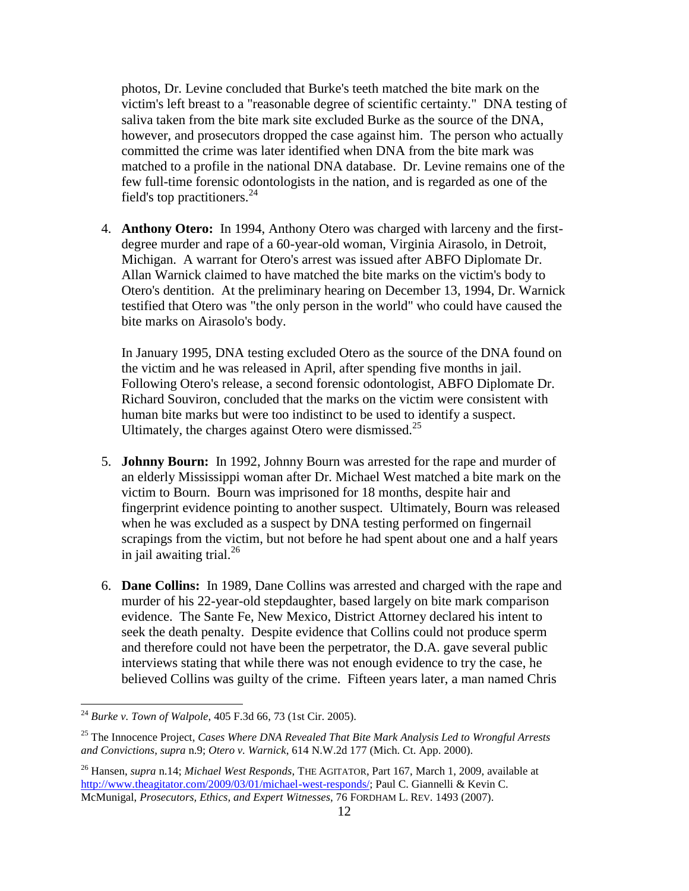photos, Dr. Levine concluded that Burke's teeth matched the bite mark on the victim's left breast to a "reasonable degree of scientific certainty." DNA testing of saliva taken from the bite mark site excluded Burke as the source of the DNA, however, and prosecutors dropped the case against him. The person who actually committed the crime was later identified when DNA from the bite mark was matched to a profile in the national DNA database. Dr. Levine remains one of the few full-time forensic odontologists in the nation, and is regarded as one of the field's top practitioners.<sup>24</sup>

4. **Anthony Otero:** In 1994, Anthony Otero was charged with larceny and the firstdegree murder and rape of a 60-year-old woman, Virginia Airasolo, in Detroit, Michigan. A warrant for Otero's arrest was issued after ABFO Diplomate Dr. Allan Warnick claimed to have matched the bite marks on the victim's body to Otero's dentition. At the preliminary hearing on December 13, 1994, Dr. Warnick testified that Otero was "the only person in the world" who could have caused the bite marks on Airasolo's body.

In January 1995, DNA testing excluded Otero as the source of the DNA found on the victim and he was released in April, after spending five months in jail. Following Otero's release, a second forensic odontologist, ABFO Diplomate Dr. Richard Souviron, concluded that the marks on the victim were consistent with human bite marks but were too indistinct to be used to identify a suspect. Ultimately, the charges against Otero were dismissed. $^{25}$ 

- 5. **Johnny Bourn:** In 1992, Johnny Bourn was arrested for the rape and murder of an elderly Mississippi woman after Dr. Michael West matched a bite mark on the victim to Bourn. Bourn was imprisoned for 18 months, despite hair and fingerprint evidence pointing to another suspect. Ultimately, Bourn was released when he was excluded as a suspect by DNA testing performed on fingernail scrapings from the victim, but not before he had spent about one and a half years in jail awaiting trial. $^{26}$
- 6. **Dane Collins:** In 1989, Dane Collins was arrested and charged with the rape and murder of his 22-year-old stepdaughter, based largely on bite mark comparison evidence. The Sante Fe, New Mexico, District Attorney declared his intent to seek the death penalty. Despite evidence that Collins could not produce sperm and therefore could not have been the perpetrator, the D.A. gave several public interviews stating that while there was not enough evidence to try the case, he believed Collins was guilty of the crime. Fifteen years later, a man named Chris

<sup>24</sup> *Burke v. Town of Walpole*, 405 F.3d 66, 73 (1st Cir. 2005).

<sup>25</sup> The Innocence Project, *Cases Where DNA Revealed That Bite Mark Analysis Led to Wrongful Arrests and Convictions*, *supra* n.9; *Otero v. Warnick*, 614 N.W.2d 177 (Mich. Ct. App. 2000).

<sup>26</sup> Hansen, *supra* n.14; *Michael West Responds*, THE AGITATOR, Part 167, March 1, 2009, available at [http://www.theagitator.com/2009/03/01/michael-west-responds/;](http://www.theagitator.com/2009/03/01/michael-west-responds/) Paul C. Giannelli & Kevin C. McMunigal, *Prosecutors, Ethics, and Expert Witnesses*, 76 FORDHAM L. REV. 1493 (2007).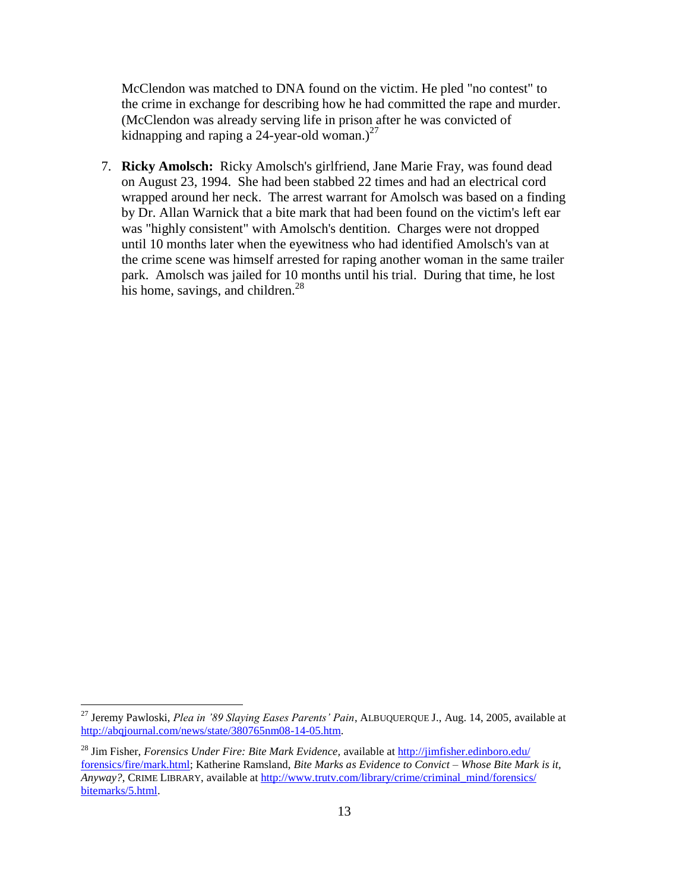McClendon was matched to DNA found on the victim. He pled "no contest" to the crime in exchange for describing how he had committed the rape and murder. (McClendon was already serving life in prison after he was convicted of kidnapping and raping a 24-year-old woman.)<sup>27</sup>

7. **Ricky Amolsch:** Ricky Amolsch's girlfriend, Jane Marie Fray, was found dead on August 23, 1994. She had been stabbed 22 times and had an electrical cord wrapped around her neck. The arrest warrant for Amolsch was based on a finding by Dr. Allan Warnick that a bite mark that had been found on the victim's left ear was "highly consistent" with Amolsch's dentition. Charges were not dropped until 10 months later when the eyewitness who had identified Amolsch's van at the crime scene was himself arrested for raping another woman in the same trailer park. Amolsch was jailed for 10 months until his trial. During that time, he lost his home, savings, and children.<sup>28</sup>

<sup>27</sup> Jeremy Pawloski, *Plea in '89 Slaying Eases Parents' Pain*, ALBUQUERQUE J., Aug. 14, 2005, available at [http://abqjournal.com/news/state/380765nm08-14-05.htm.](http://abqjournal.com/news/state/380765nm08-14-05.htm)

<sup>28</sup> Jim Fisher, *Forensics Under Fire: Bite Mark Evidence,* available a[t http://jimfisher.edinboro.edu/](http://jimfisher.edinboro.edu/forensics/fire/mark.html) [forensics/fire/mark.html;](http://jimfisher.edinboro.edu/forensics/fire/mark.html) Katherine Ramsland, *Bite Marks as Evidence to Convict – Whose Bite Mark is it, Anyway?*, CRIME LIBRARY, available at [http://www.trutv.com/library/crime/criminal\\_mind/forensics/](http://www.trutv.com/library/crime/criminal_mind/forensics/bitemarks/5.html) [bitemarks/5.html.](http://www.trutv.com/library/crime/criminal_mind/forensics/bitemarks/5.html)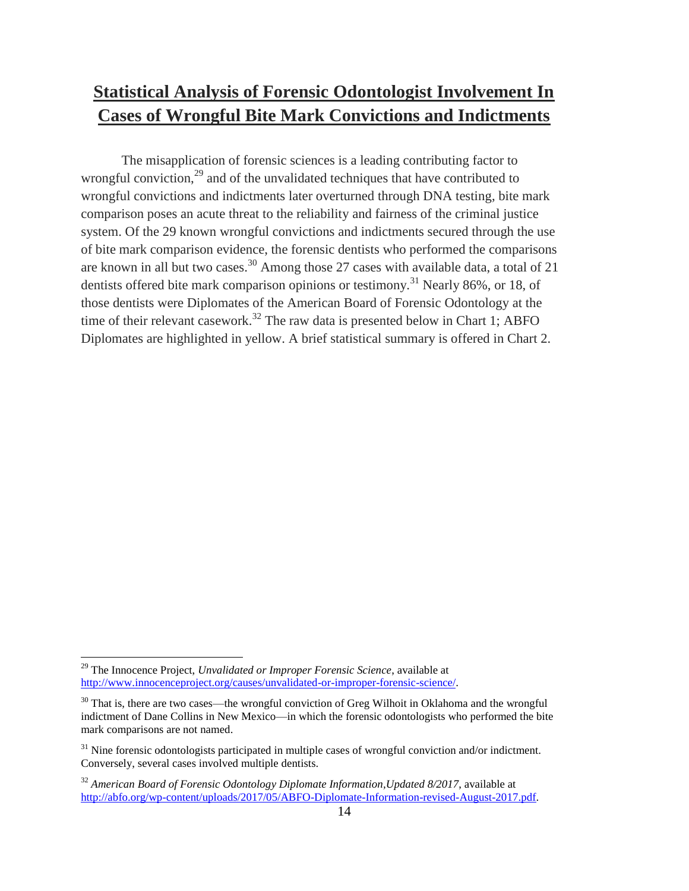## **Statistical Analysis of Forensic Odontologist Involvement In Cases of Wrongful Bite Mark Convictions and Indictments**

The misapplication of forensic sciences is a leading contributing factor to wrongful conviction, $^{29}$  and of the unvalidated techniques that have contributed to wrongful convictions and indictments later overturned through DNA testing, bite mark comparison poses an acute threat to the reliability and fairness of the criminal justice system. Of the 29 known wrongful convictions and indictments secured through the use of bite mark comparison evidence, the forensic dentists who performed the comparisons are known in all but two cases.<sup>30</sup> Among those 27 cases with available data, a total of 21 dentists offered bite mark comparison opinions or testimony.<sup>31</sup> Nearly 86%, or 18, of those dentists were Diplomates of the American Board of Forensic Odontology at the time of their relevant casework.<sup>32</sup> The raw data is presented below in Chart 1; ABFO Diplomates are highlighted in yellow. A brief statistical summary is offered in Chart 2.

<sup>29</sup> The Innocence Project, *Unvalidated or Improper Forensic Science*, available at [http://www.innocenceproject.org/causes/unvalidated-or-improper-forensic-science/.](http://www.innocenceproject.org/causes/unvalidated-or-improper-forensic-science/)

 $30$  That is, there are two cases—the wrongful conviction of Greg Wilhoit in Oklahoma and the wrongful indictment of Dane Collins in New Mexico—in which the forensic odontologists who performed the bite mark comparisons are not named.

 $31$  Nine forensic odontologists participated in multiple cases of wrongful conviction and/or indictment. Conversely, several cases involved multiple dentists.

<sup>32</sup> *American Board of Forensic Odontology Diplomate Information,Updated 8/2017*, available at [http://abfo.org/wp-content/uploads/2017/05/ABFO-Diplomate-Information-revised-August-2017.pdf.](http://abfo.org/wp-content/uploads/2017/05/ABFO-Diplomate-Information-revised-August-2017.pdf)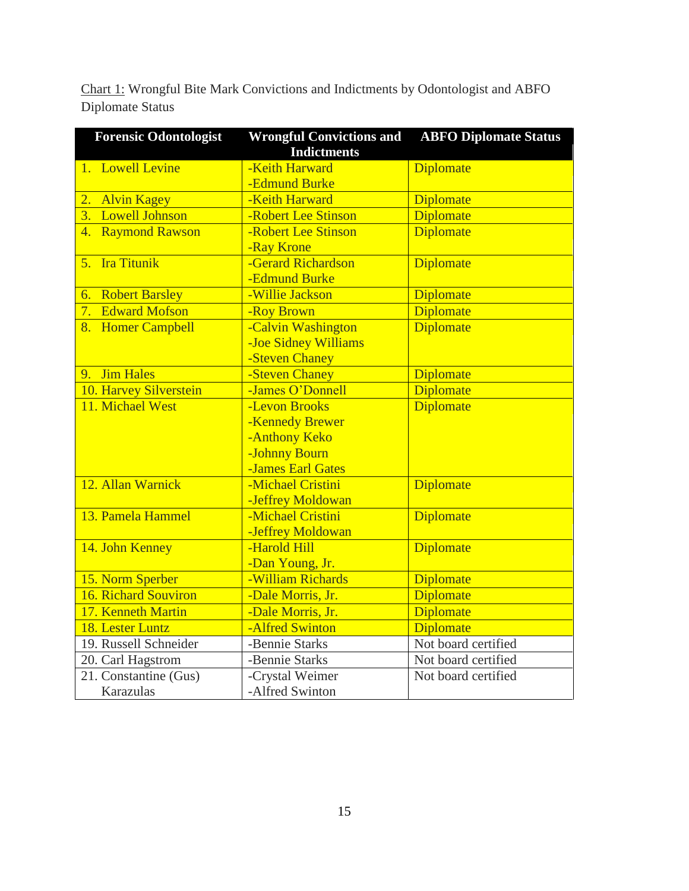Chart 1: Wrongful Bite Mark Convictions and Indictments by Odontologist and ABFO Diplomate Status

| <b>Forensic Odontologist</b>         | <b>Wrongful Convictions and</b> | <b>ABFO Diplomate Status</b> |
|--------------------------------------|---------------------------------|------------------------------|
|                                      | <b>Indictments</b>              |                              |
| 1. Lowell Levine                     | -Keith Harward                  | <b>Diplomate</b>             |
|                                      | -Edmund Burke                   |                              |
| <b>Alvin Kagey</b><br>2.             | -Keith Harward                  | Diplomate                    |
| <b>Lowell Johnson</b><br>3.          | -Robert Lee Stinson             | <b>Diplomate</b>             |
| <b>Raymond Rawson</b><br>4.          | -Robert Lee Stinson             | <b>Diplomate</b>             |
|                                      | -Ray Krone                      |                              |
| <b>Ira Titunik</b><br>5 <sub>1</sub> | -Gerard Richardson              | <b>Diplomate</b>             |
|                                      | -Edmund Burke                   |                              |
| <b>Robert Barsley</b><br>6.          | -Willie Jackson                 | <b>Diplomate</b>             |
| <b>Edward Mofson</b><br>7.           | -Roy Brown                      | <b>Diplomate</b>             |
| <b>Homer Campbell</b><br>8.          | -Calvin Washington              | <b>Diplomate</b>             |
|                                      | -Joe Sidney Williams            |                              |
|                                      | -Steven Chaney                  |                              |
| <b>Jim Hales</b><br>9.               | -Steven Chaney                  | <b>Diplomate</b>             |
| 10. Harvey Silverstein               | -James O'Donnell                | <b>Diplomate</b>             |
| 11. Michael West                     | -Levon Brooks                   | <b>Diplomate</b>             |
|                                      | -Kennedy Brewer                 |                              |
|                                      | -Anthony Keko                   |                              |
|                                      | -Johnny Bourn                   |                              |
|                                      | -James Earl Gates               |                              |
| 12. Allan Warnick                    | -Michael Cristini               | <b>Diplomate</b>             |
|                                      | -Jeffrey Moldowan               |                              |
| 13. Pamela Hammel                    | -Michael Cristini               | <b>Diplomate</b>             |
|                                      | -Jeffrey Moldowan               |                              |
| 14. John Kenney                      | -Harold Hill                    | <b>Diplomate</b>             |
|                                      | -Dan Young, Jr.                 |                              |
| 15. Norm Sperber                     | -William Richards               | <b>Diplomate</b>             |
| <b>16. Richard Souviron</b>          | -Dale Morris, Jr.               | Diplomate                    |
| 17. Kenneth Martin                   | -Dale Morris, Jr.               | Diplomate                    |
| 18. Lester Luntz                     | -Alfred Swinton                 | <b>Diplomate</b>             |
| 19. Russell Schneider                | -Bennie Starks                  | Not board certified          |
| 20. Carl Hagstrom                    | -Bennie Starks                  | Not board certified          |
| 21. Constantine (Gus)                | -Crystal Weimer                 | Not board certified          |
| Karazulas                            | -Alfred Swinton                 |                              |